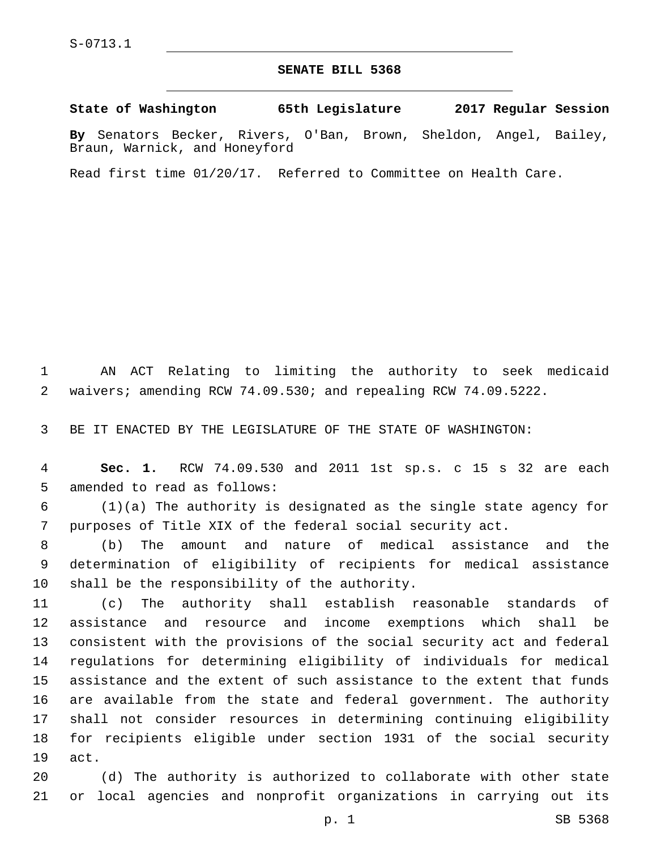## **SENATE BILL 5368**

**State of Washington 65th Legislature 2017 Regular Session**

**By** Senators Becker, Rivers, O'Ban, Brown, Sheldon, Angel, Bailey, Braun, Warnick, and Honeyford

Read first time 01/20/17. Referred to Committee on Health Care.

 AN ACT Relating to limiting the authority to seek medicaid waivers; amending RCW 74.09.530; and repealing RCW 74.09.5222.

BE IT ENACTED BY THE LEGISLATURE OF THE STATE OF WASHINGTON:

 **Sec. 1.** RCW 74.09.530 and 2011 1st sp.s. c 15 s 32 are each 5 amended to read as follows:

 (1)(a) The authority is designated as the single state agency for purposes of Title XIX of the federal social security act.

 (b) The amount and nature of medical assistance and the determination of eligibility of recipients for medical assistance 10 shall be the responsibility of the authority.

 (c) The authority shall establish reasonable standards of assistance and resource and income exemptions which shall be consistent with the provisions of the social security act and federal regulations for determining eligibility of individuals for medical assistance and the extent of such assistance to the extent that funds are available from the state and federal government. The authority shall not consider resources in determining continuing eligibility for recipients eligible under section 1931 of the social security 19 act.

 (d) The authority is authorized to collaborate with other state or local agencies and nonprofit organizations in carrying out its

p. 1 SB 5368